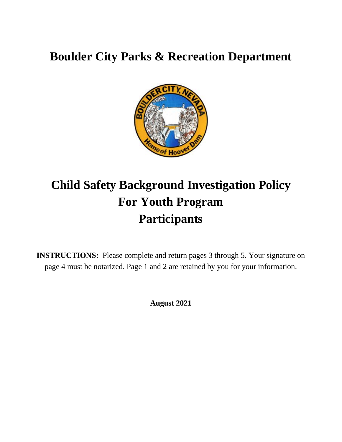# **Boulder City Parks & Recreation Department**



# **Child Safety Background Investigation Policy For Youth Program Participants**

**INSTRUCTIONS:** Please complete and return pages 3 through 5. Your signature on page 4 must be notarized. Page 1 and 2 are retained by you for your information.

**August 2021**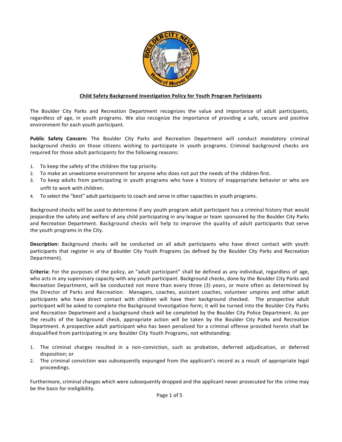

#### **Child Safety Background Investigation Policy for Youth Program Participants**

The Boulder City Parks and Recreation Department recognizes the value and importance of adult participants, regardless of age, in youth programs. We also recognize the importance of providing a safe, secure and positive environment for each youth participant.

**Public Safety Concern:** The Boulder City Parks and Recreation Department will conduct *mandatory* criminal background checks on those citizens wishing to participate in youth programs. Criminal background checks are required for those adult participants for the following reasons:

- 1. To keep the safety of the children the top priority.
- 2. To make an unwelcome environment for anyone who does not put the needs of the children first.
- 3. To keep adults from participating in youth programs who have a history of inappropriate behavior or who are unfit to work with children.
- 4. To select the "best" adult participants to coach and serve in other capacities in youth programs.

Background checks will be used to determine if any youth program adult participant has a criminal history that would jeopardize the safety and welfare of any child participating in any league or team sponsored by the Boulder City Parks and Recreation Department. Background checks will help to improve the quality of adult participants that serve the youth programs in the City.

**Description:** Background checks will be conducted on all adult participants who have direct contact with youth participants that register in any of Boulder City Youth Programs (as defined by the Boulder City Parks and Recreation Department).

**Criteria:** For the purposes of the policy, an "adult participant" shall be defined as any individual, regardless of age, who acts in any supervisory capacity with any youth participant. Background checks, done by the Boulder City Parks and Recreation Department, will be conducted not more than every three (3) years, or more often as determined by the Director of Parks and Recreation. Managers, coaches, assistant coaches, volunteer umpires and other adult participants who have direct contact with children will have their background checked. The prospective adult participant will be asked to complete the Background Investigation form; it will be turned into the Boulder City Parks and Recreation Department and a background check will be completed by the Boulder City Police Department. As per the results of the background check, appropriate action will be taken by the Boulder City Parks and Recreation Department. A prospective adult participant who has been penalized for a criminal offense provided herein shall be disqualified from participating in any Boulder City Youth Programs, not withstanding:

- 1. The criminal charges resulted in a non-conviction, such as probation, deferred adjudication, or deferred disposition; or
- 2. The criminal conviction was subsequently expunged from the applicant's record as a result of appropriate legal proceedings.

Furthermore, criminal charges which were subsequently dropped and the applicant never prosecuted for the crime may be the basis for ineligibility.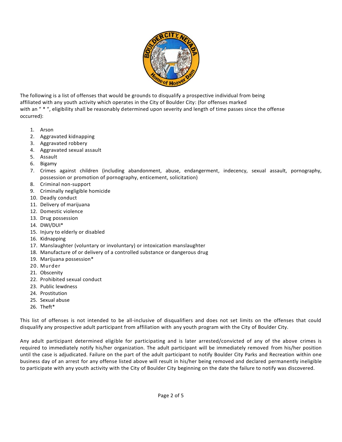

The following is a list of offenses that would be grounds to disqualify a prospective individual from being affiliated with any youth activity which operates in the City of Boulder City: (for offenses marked with an " \* ", eligibility shall be reasonably determined upon severity and length of time passes since the offense occurred):

- 1. Arson
- 2. Aggravated kidnapping
- 3. Aggravated robbery
- 4. Aggravated sexual assault
- 5. Assault
- 6. Bigamy
- 7. Crimes against children (including abandonment, abuse, endangerment, indecency, sexual assault, pornography, possession or promotion of pornography, enticement, solicitation)
- 8. Criminal non-support
- 9. Criminally negligible homicide
- 10. Deadly conduct
- 11. Delivery of marijuana
- 12. Domestic violence
- 13. Drug possession
- 14. DWI/DUI\*
- 15. Injury to elderly or disabled
- 16. Kidnapping
- 17. Manslaughter (voluntary or involuntary) or intoxication manslaughter
- 18. Manufacture of or delivery of a controlled substance or dangerous drug
- 19. Marijuana possession\*
- 20. Murder
- 21. Obscenity
- 22. Prohibited sexual conduct
- 23. Public lewdness
- 24. Prostitution
- 25. Sexual abuse
- 26. Theft\*

This list of offenses is not intended to be all-inclusive of disqualifiers and does not set limits on the offenses that could disqualify any prospective adult participant from affiliation with any youth program with the City of Boulder City.

Any adult participant determined eligible for participating and is later arrested/convicted of any of the above crimes is required to immediately notify his/her organization. The adult participant will be immediately removed from his/her position until the case is adjudicated. Failure on the part of the adult participant to notify Boulder City Parks and Recreation within one business day of an arrest for any offense listed above will result in his/her being removed and declared permanently ineligible to participate with any youth activity with the City of Boulder City beginning on the date the failure to notify was discovered.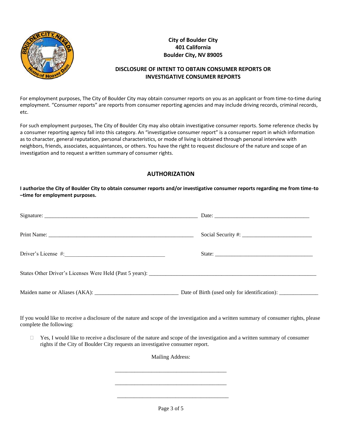

#### **City of Boulder City 401 California Boulder City, NV 89005**

#### **DISCLOSURE OF INTENT TO OBTAIN CONSUMER REPORTS OR INVESTIGATIVE CONSUMER REPORTS**

For employment purposes, The City of Boulder City may obtain consumer reports on you as an applicant or from time-to-time during employment. "Consumer reports" are reports from consumer reporting agencies and may include driving records, criminal records, etc.

For such employment purposes, The City of Boulder City may also obtain investigative consumer reports. Some reference checks by a consumer reporting agency fall into this category. An "investigative consumer report" is a consumer report in which information as to character, general reputation, personal characteristics, or mode of living is obtained through personal interview with neighbors, friends, associates, acquaintances, or others. You have the right to request disclosure of the nature and scope of an investigation and to request a written summary of consumer rights.

#### **AUTHORIZATION**

**I authorize the City of Boulder City to obtain consumer reports and/or investigative consumer reports regarding me from time-to –time for employment purposes.**

If you would like to receive a disclosure of the nature and scope of the investigation and a written summary of consumer rights, please complete the following:

 $\Box$  Yes, I would like to receive a disclosure of the nature and scope of the investigation and a written summary of consumer rights if the City of Boulder City requests an investigative consumer report.

Mailing Address:

\_\_\_\_\_\_\_\_\_\_\_\_\_\_\_\_\_\_\_\_\_\_\_\_\_\_\_\_\_\_\_\_\_\_\_\_\_\_\_\_

\_\_\_\_\_\_\_\_\_\_\_\_\_\_\_\_\_\_\_\_\_\_\_\_\_\_\_\_\_\_\_\_\_\_\_\_\_\_\_\_

Page 3 of 5

 $\overline{\phantom{a}...}$  ,  $\overline{\phantom{a}...}$  ,  $\overline{\phantom{a}...}$  ,  $\overline{\phantom{a}...}$  ,  $\overline{\phantom{a}...}$  ,  $\overline{\phantom{a}...}$  ,  $\overline{\phantom{a}...}$  ,  $\overline{\phantom{a}...}$  ,  $\overline{\phantom{a}...}$  ,  $\overline{\phantom{a}...}$  ,  $\overline{\phantom{a}...}$  ,  $\overline{\phantom{a}...}$  ,  $\overline{\phantom{a}...}$  ,  $\overline{\phantom{a}...}$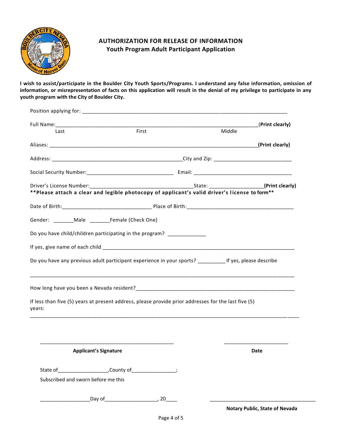

### **AUTHORIZATION FOR RELEASE OF INFORMATION Youth Program Adult Participant Application**

**I wish to assist/participate in the Boulder City Youth Sports/Programs. I understand any false information, omission of information, or misrepresentation of facts on this application will result in the denial of my privilege to participate in any youth program with the City of Boulder City.**

|                                     |                                                                                                            |        | (Print clearly) |
|-------------------------------------|------------------------------------------------------------------------------------------------------------|--------|-----------------|
| Last                                | First                                                                                                      | Middle |                 |
|                                     |                                                                                                            |        |                 |
|                                     |                                                                                                            |        |                 |
|                                     |                                                                                                            |        |                 |
|                                     |                                                                                                            |        | (Print clearly) |
|                                     | **Please attach a clear and legible photocopy of applicant's valid driver's license to form**              |        |                 |
|                                     |                                                                                                            |        |                 |
|                                     | Gender: ________Male ______________Female (Check One)                                                      |        |                 |
|                                     | Do you have child/children participating in the program?                                                   |        |                 |
|                                     |                                                                                                            |        |                 |
|                                     |                                                                                                            |        |                 |
|                                     |                                                                                                            |        |                 |
|                                     | Do you have any previous adult participant experience in your sports? ____________ If yes, please describe |        |                 |
|                                     |                                                                                                            |        |                 |
|                                     | <u>,一个人的人都不能在这个人的人,就是这个人的人,就是这个人的人,就是这个人的人,就是这个人的人,</u>                                                    |        |                 |
|                                     |                                                                                                            |        |                 |
|                                     | If less than five (5) years at present address, please provide prior addresses for the last five (5)       |        |                 |
|                                     |                                                                                                            |        |                 |
|                                     |                                                                                                            |        |                 |
|                                     |                                                                                                            |        |                 |
|                                     |                                                                                                            |        |                 |
| years:                              | <b>Applicant's Signature</b>                                                                               |        | Date            |
|                                     |                                                                                                            |        |                 |
| Subscribed and sworn before me this |                                                                                                            |        |                 |
|                                     |                                                                                                            |        |                 |